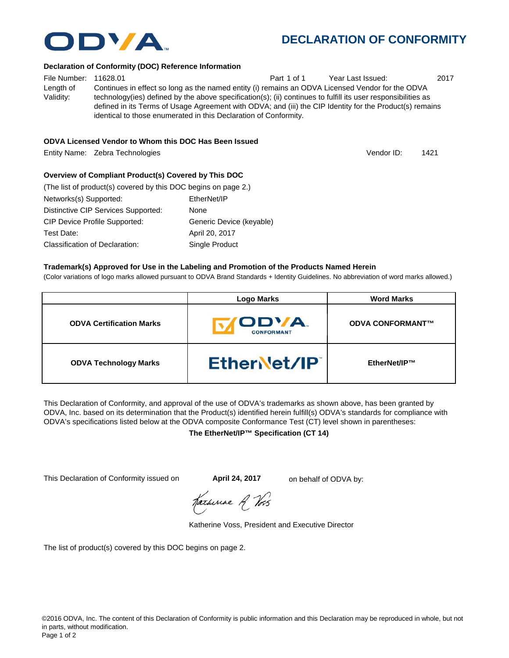

Vendor ID:

#### **Declaration of Conformity (DOC) Reference Information**

File Number: 11628.01 Part 1 of 1 Year Last Issued: 2017 Length of Validity: Continues in effect so long as the named entity (i) remains an ODVA Licensed Vendor for the ODVA technology(ies) defined by the above specification(s); (ii) continues to fulfill its user responsibilities as defined in its Terms of Usage Agreement with ODVA; and (iii) the CIP Identity for the Product(s) remains identical to those enumerated in this Declaration of Conformity.

### **ODVA Licensed Vendor to Whom this DOC Has Been Issued**

Entity Name: Zebra Technologies 1421

## **Overview of Compliant Product(s) Covered by This DOC**

| (The list of product(s) covered by this DOC begins on page 2.) |                          |
|----------------------------------------------------------------|--------------------------|
| Networks(s) Supported:                                         | EtherNet/IP              |
| Distinctive CIP Services Supported:                            | None                     |
| <b>CIP Device Profile Supported:</b>                           | Generic Device (keyable) |
| Test Date:                                                     | April 20, 2017           |
| Classification of Declaration:                                 | Single Product           |

#### **Trademark(s) Approved for Use in the Labeling and Promotion of the Products Named Herein**

(Color variations of logo marks allowed pursuant to ODVA Brand Standards + Identity Guidelines. No abbreviation of word marks allowed.)

|                                 | <b>Logo Marks</b>                | <b>Word Marks</b>       |
|---------------------------------|----------------------------------|-------------------------|
| <b>ODVA Certification Marks</b> | <b>ODVA</b><br><b>CONFORMANT</b> | <b>ODVA CONFORMANT™</b> |
| <b>ODVA Technology Marks</b>    | EtherNet/IP                      | EtherNet/IP™            |

This Declaration of Conformity, and approval of the use of ODVA's trademarks as shown above, has been granted by ODVA, Inc. based on its determination that the Product(s) identified herein fulfill(s) ODVA's standards for compliance with ODVA's specifications listed below at the ODVA composite Conformance Test (CT) level shown in parentheses:

**The EtherNet/IP™ Specification (CT 14)**

This Declaration of Conformity issued on **April 24, 2017** on behalf of ODVA by:

Karhiriae A Vos

Katherine Voss, President and Executive Director

The list of product(s) covered by this DOC begins on page 2.